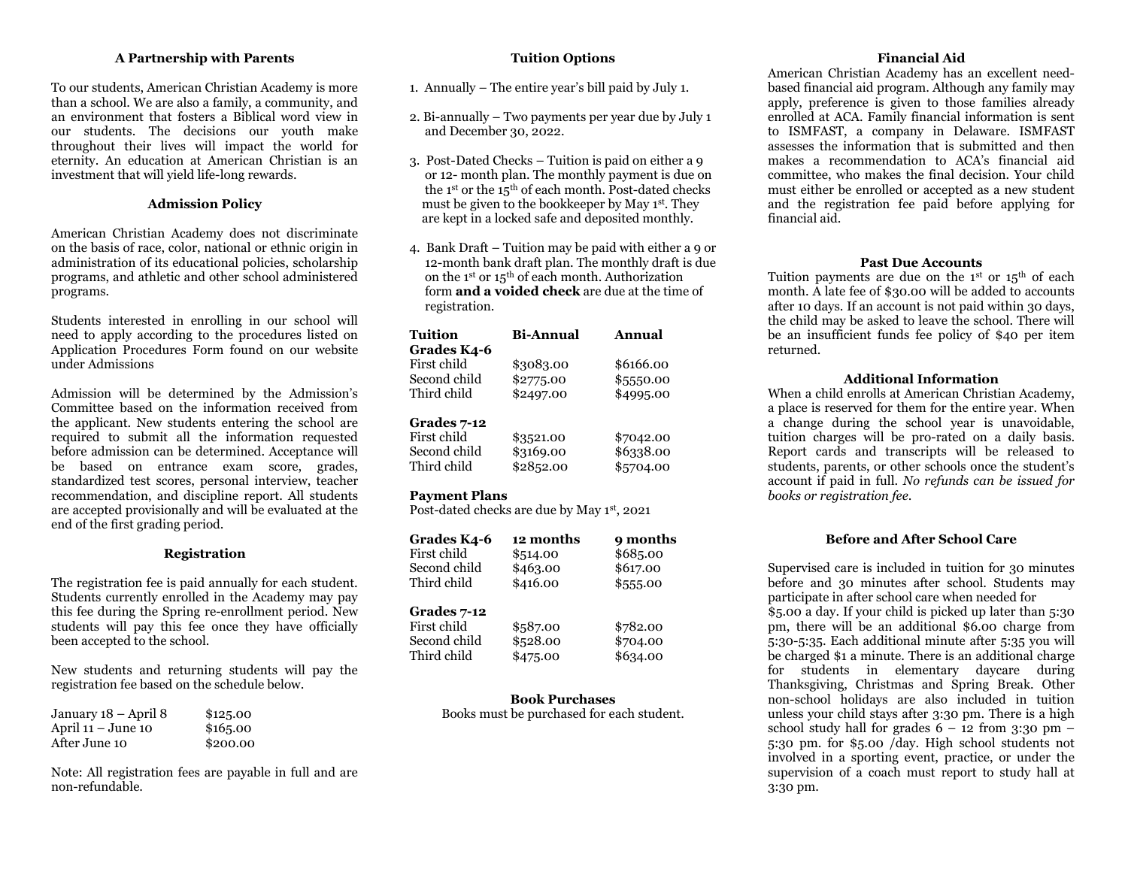# **A Partnership with Parents**

To our students, American Christian Academy is more than a school. We are also a family, a community, and an environment that fosters a Biblical word view in our students. The decisions our youth make throughout their lives will impact the world for eternity. An education at American Christian is an investment that will yield life-long rewards.

# **Admission Policy**

American Christian Academy does not discriminate on the basis of race, color, national or ethnic origin in administration of its educational policies, scholarship programs, and athletic and other school administered programs.

Students interested in enrolling in our school will need to apply according to the procedures listed on Application Procedures Form found on our website under Admissions

Admission will be determined by the Admission's Committee based on the information received from the applicant. New students entering the school are required to submit all the information requested before admission can be determined. Acceptance will be based on entrance exam score, grades, standardized test scores, personal interview, teacher recommendation, and discipline report. All students are accepted provisionally and will be evaluated at the end of the first grading period.

#### **Registration**

The registration fee is paid annually for each student. Students currently enrolled in the Academy may pay this fee during the Spring re-enrollment period. New students will pay this fee once they have officially been accepted to the school.

New students and returning students will pay the registration fee based on the schedule below.

| January 18 – April 8 | \$125.00 |
|----------------------|----------|
| April 11 – June 10   | \$165.00 |
| After June 10        | \$200.00 |

Note: All registration fees are payable in full and are non-refundable.

# **Tuition Options**

- 1. Annually The entire year's bill paid by July 1.
- 2. Bi-annually Two payments per year due by July 1 and December 30, 2022.
- 3. Post-Dated Checks Tuition is paid on either a 9 or 12- month plan. The monthly payment is due on the 1st or the 15th of each month. Post-dated checks must be given to the bookkeeper by May 1st. They are kept in a locked safe and deposited monthly.
- 4. Bank Draft Tuition may be paid with either a 9 or 12-month bank draft plan. The monthly draft is due on the 1st or 15th of each month. Authorization form **and a voided check** are due at the time of registration.

| Tuition<br>Grades K4-6      | <b>Bi-Annual</b>       | Annual                 |
|-----------------------------|------------------------|------------------------|
| First child<br>Second child | \$3083.00<br>\$2775.00 | \$6166.00<br>\$5550.00 |
| Third child                 | \$2497.00              | \$4995.00              |
| Grades 7-12                 |                        |                        |
| First child                 | \$3521.00              | \$7042.00              |
| Second child                | \$3169.00              | \$6338.00              |
| Third child                 | \$2852.00              | \$5704.00              |

# **Payment Plans**

Post-dated checks are due by May 1st, 2021

| Grades K4-6                                               | 12 months                        | 9 months                         |
|-----------------------------------------------------------|----------------------------------|----------------------------------|
| First child                                               | \$514.00                         | \$685.00                         |
| Second child                                              | \$463.00                         | \$617.00                         |
| Third child                                               | \$416.00                         | \$555.00                         |
| Grades 7-12<br>First child<br>Second child<br>Third child | \$587.00<br>\$528.00<br>\$475.00 | \$782.00<br>\$704.00<br>\$634.00 |

# **Book Purchases**

Books must be purchased for each student.

# **Financial Aid**

American Christian Academy has an excellent needbased financial aid program. Although any family may apply, preference is given to those families already enrolled at ACA. Family financial information is sent to ISMFAST, a company in Delaware. ISMFAST assesses the information that is submitted and then makes a recommendation to ACA's financial aid committee, who makes the final decision. Your child must either be enrolled or accepted as a new student and the registration fee paid before applying for financial aid.

#### **Past Due Accounts**

Tuition payments are due on the  $1<sup>st</sup>$  or  $1<sup>th</sup>$  of each month. A late fee of \$30.00 will be added to accounts after 10 days. If an account is not paid within 30 days, the child may be asked to leave the school. There will be an insufficient funds fee policy of \$40 per item returned.

#### **Additional Information**

When a child enrolls at American Christian Academy, a place is reserved for them for the entire year. When a change during the school year is unavoidable, tuition charges will be pro-rated on a daily basis. Report cards and transcripts will be released to students, parents, or other schools once the student's account if paid in full. *No refunds can be issued for books or registration fee*.

#### **Before and After School Care**

Supervised care is included in tuition for 30 minutes before and 30 minutes after school. Students may participate in after school care when needed for \$5.00 a day. If your child is picked up later than 5:30 pm, there will be an additional \$6.00 charge from 5:30-5:35. Each additional minute after 5:35 you will be charged \$1 a minute. There is an additional charge for students in elementary daycare during Thanksgiving, Christmas and Spring Break. Other non-school holidays are also included in tuition unless your child stays after 3:30 pm. There is a high school study hall for grades  $6 - 12$  from 3:30 pm – 5:30 pm. for \$5.00 /day. High school students not involved in a sporting event, practice, or under the supervision of a coach must report to study hall at 3:30 pm.